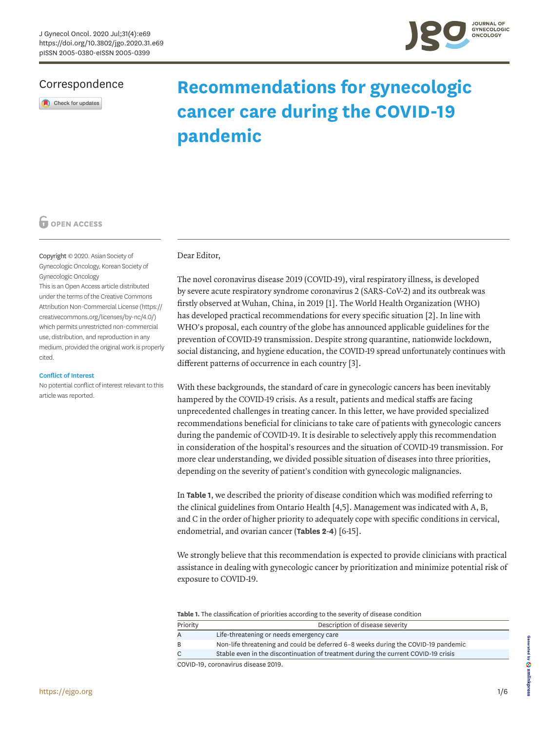

## Correspondence

Check for updates

# **Recommendations for gynecologic cancer care during the COVID-19 pandemic**

## **O** OPEN ACCESS

Copyright © 2020. Asian Society of Gynecologic Oncology, Korean Society of Gynecologic Oncology

This is an Open Access article distributed under the terms of the Creative Commons Attribution Non-Commercial License [\(https://](https://creativecommons.org/licenses/by-nc/4.0/) [creativecommons.org/licenses/by-nc/4.0/](https://creativecommons.org/licenses/by-nc/4.0/)) which permits unrestricted non-commercial use, distribution, and reproduction in any medium, provided the original work is properly cited.

#### **Conflict of Interest**

No potential conflict of interest relevant to this article was reported.

### Dear Editor,

<span id="page-0-2"></span><span id="page-0-1"></span>The novel coronavirus disease 2019 (COVID-19), viral respiratory illness, is developed by severe acute respiratory syndrome coronavirus 2 (SARS-CoV-2) and its outbreak was firstly observed at Wuhan, China, in 2019 [[1](#page-4-0)]. The World Health Organization (WHO) has developed practical recommendations for every specific situation [[2](#page-4-1)]. In line with WHO's proposal, each country of the globe has announced applicable guidelines for the prevention of COVID-19 transmission. Despite strong quarantine, nationwide lockdown, social distancing, and hygiene education, the COVID-19 spread unfortunately continues with different patterns of occurrence in each country [\[3\]](#page-4-2).

<span id="page-0-3"></span>With these backgrounds, the standard of care in gynecologic cancers has been inevitably hampered by the COVID-19 crisis. As a result, patients and medical staffs are facing unprecedented challenges in treating cancer. In this letter, we have provided specialized recommendations beneficial for clinicians to take care of patients with gynecologic cancers during the pandemic of COVID-19. It is desirable to selectively apply this recommendation in consideration of the hospital's resources and the situation of COVID-19 transmission. For more clear understanding, we divided possible situation of diseases into three priorities, depending on the severity of patient's condition with gynecologic malignancies.

<span id="page-0-4"></span>In **[Table 1](#page-0-0)**, we described the priority of disease condition which was modified referring to the clinical guidelines from Ontario Health [[4](#page-4-3)[,5\]](#page-4-4). Management was indicated with A, B, and C in the order of higher priority to adequately cope with specific conditions in cervical, endometrial, and ovarian cancer (**[Tables 2](#page-1-0)**-**[4](#page-3-0)**) [[6](#page-4-5)[-15](#page-5-0)].

<span id="page-0-5"></span>We strongly believe that this recommendation is expected to provide clinicians with practical assistance in dealing with gynecologic cancer by prioritization and minimize potential risk of exposure to COVID-19.

<span id="page-0-0"></span>**Table 1.** The classification of priorities according to the severity of disease condition

| Priority                         | Description of disease severity                                                    |  |  |  |
|----------------------------------|------------------------------------------------------------------------------------|--|--|--|
|                                  | Life-threatening or needs emergency care                                           |  |  |  |
| <sup>B</sup>                     | Non-life threatening and could be deferred 6-8 weeks during the COVID-19 pandemic  |  |  |  |
|                                  | Stable even in the discontinuation of treatment during the current COVID-19 crisis |  |  |  |
| COUD 10 estepatitus disease 0010 |                                                                                    |  |  |  |

COVID-19, coronavirus disease 2019.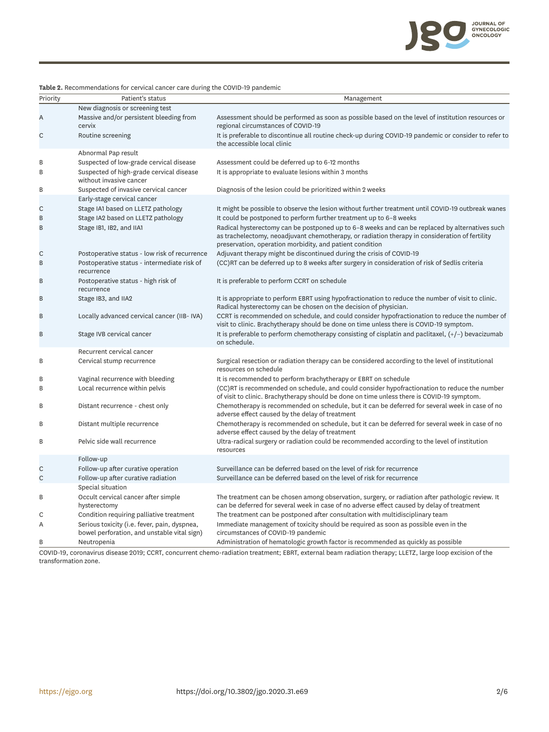

| Priority | Patient's status                                                                            | Management                                                                                                                                                                                                                                                   |
|----------|---------------------------------------------------------------------------------------------|--------------------------------------------------------------------------------------------------------------------------------------------------------------------------------------------------------------------------------------------------------------|
|          | New diagnosis or screening test                                                             |                                                                                                                                                                                                                                                              |
| Α        | Massive and/or persistent bleeding from<br>cervix                                           | Assessment should be performed as soon as possible based on the level of institution resources or<br>regional circumstances of COVID-19                                                                                                                      |
| С        | Routine screening                                                                           | It is preferable to discontinue all routine check-up during COVID-19 pandemic or consider to refer to<br>the accessible local clinic                                                                                                                         |
|          | Abnormal Pap result                                                                         |                                                                                                                                                                                                                                                              |
| B        | Suspected of low-grade cervical disease                                                     | Assessment could be deferred up to 6-12 months                                                                                                                                                                                                               |
| B        | Suspected of high-grade cervical disease<br>without invasive cancer                         | It is appropriate to evaluate lesions within 3 months                                                                                                                                                                                                        |
| В        | Suspected of invasive cervical cancer                                                       | Diagnosis of the lesion could be prioritized within 2 weeks                                                                                                                                                                                                  |
|          | Early-stage cervical cancer                                                                 |                                                                                                                                                                                                                                                              |
| С        | Stage IA1 based on LLETZ pathology                                                          | It might be possible to observe the lesion without further treatment until COVID-19 outbreak wanes                                                                                                                                                           |
| B        | Stage IA2 based on LLETZ pathology                                                          | It could be postponed to perform further treatment up to 6-8 weeks                                                                                                                                                                                           |
| B        | Stage IB1, IB2, and IIA1                                                                    | Radical hysterectomy can be postponed up to 6-8 weeks and can be replaced by alternatives such<br>as trachelectomy, neoadjuvant chemotherapy, or radiation therapy in consideration of fertility<br>preservation, operation morbidity, and patient condition |
| С        | Postoperative status - low risk of recurrence                                               | Adjuvant therapy might be discontinued during the crisis of COVID-19                                                                                                                                                                                         |
| B        | Postoperative status - intermediate risk of<br>recurrence                                   | (CC)RT can be deferred up to 8 weeks after surgery in consideration of risk of Sedlis criteria                                                                                                                                                               |
| В        | Postoperative status - high risk of<br>recurrence                                           | It is preferable to perform CCRT on schedule                                                                                                                                                                                                                 |
| В        | Stage IB3, and IIA2                                                                         | It is appropriate to perform EBRT using hypofractionation to reduce the number of visit to clinic.<br>Radical hysterectomy can be chosen on the decision of physician.                                                                                       |
| В        | Locally advanced cervical cancer (IIB-IVA)                                                  | CCRT is recommended on schedule, and could consider hypofractionation to reduce the number of<br>visit to clinic. Brachytherapy should be done on time unless there is COVID-19 symptom.                                                                     |
| В        | Stage IVB cervical cancer                                                                   | It is preferable to perform chemotherapy consisting of cisplatin and paclitaxel, $(+/-)$ bevacizumab<br>on schedule.                                                                                                                                         |
|          | Recurrent cervical cancer                                                                   |                                                                                                                                                                                                                                                              |
| B        | Cervical stump recurrence                                                                   | Surgical resection or radiation therapy can be considered according to the level of institutional<br>resources on schedule                                                                                                                                   |
| B        | Vaginal recurrence with bleeding                                                            | It is recommended to perform brachytherapy or EBRT on schedule                                                                                                                                                                                               |
| B        | Local recurrence within pelvis                                                              | (CC)RT is recommended on schedule, and could consider hypofractionation to reduce the number<br>of visit to clinic. Brachytherapy should be done on time unless there is COVID-19 symptom.                                                                   |
| В        | Distant recurrence - chest only                                                             | Chemotherapy is recommended on schedule, but it can be deferred for several week in case of no<br>adverse effect caused by the delay of treatment                                                                                                            |
| B        | Distant multiple recurrence                                                                 | Chemotherapy is recommended on schedule, but it can be deferred for several week in case of no<br>adverse effect caused by the delay of treatment                                                                                                            |
| B        | Pelvic side wall recurrence                                                                 | Ultra-radical surgery or radiation could be recommended according to the level of institution<br>resources                                                                                                                                                   |
|          | Follow-up                                                                                   |                                                                                                                                                                                                                                                              |
| C        | Follow-up after curative operation                                                          | Surveillance can be deferred based on the level of risk for recurrence                                                                                                                                                                                       |
| C        | Follow-up after curative radiation                                                          | Surveillance can be deferred based on the level of risk for recurrence                                                                                                                                                                                       |
|          | Special situation                                                                           |                                                                                                                                                                                                                                                              |
| В        | Occult cervical cancer after simple<br>hysterectomy                                         | The treatment can be chosen among observation, surgery, or radiation after pathologic review. It<br>can be deferred for several week in case of no adverse effect caused by delay of treatment                                                               |
| С        | Condition requiring palliative treatment                                                    | The treatment can be postponed after consultation with multidisciplinary team                                                                                                                                                                                |
| Α        | Serious toxicity (i.e. fever, pain, dyspnea,<br>bowel perforation, and unstable vital sign) | Immediate management of toxicity should be required as soon as possible even in the<br>circumstances of COVID-19 pandemic                                                                                                                                    |
| B        | Neutropenia                                                                                 | Administration of hematologic growth factor is recommended as quickly as possible                                                                                                                                                                            |

<span id="page-1-0"></span>**Table 2.** Recommendations for cervical cancer care during the COVID-19 pandemic

COVID-19, coronavirus disease 2019; CCRT, concurrent chemo-radiation treatment; EBRT, external beam radiation therapy; LLETZ, large loop excision of the transformation zone.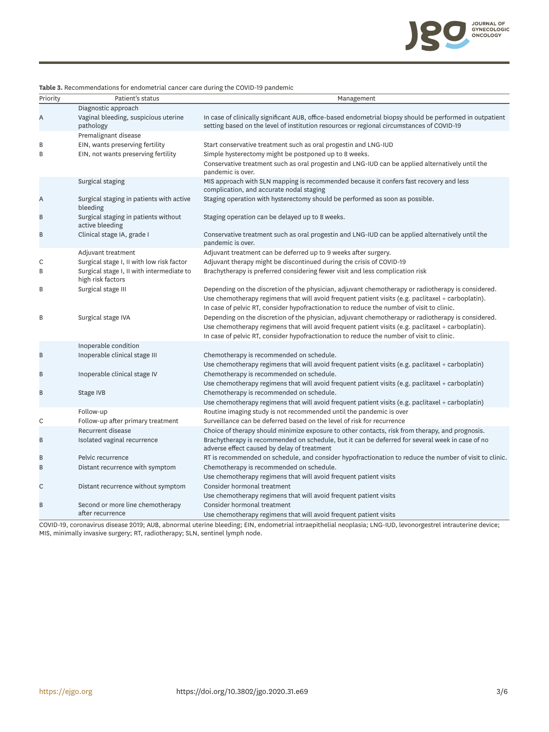

**Table 3.** Recommendations for endometrial cancer care during the COVID-19 pandemic

| Priority | Patient's status                                               | Management                                                                                                                                                                                            |
|----------|----------------------------------------------------------------|-------------------------------------------------------------------------------------------------------------------------------------------------------------------------------------------------------|
|          | Diagnostic approach                                            |                                                                                                                                                                                                       |
| A        | Vaginal bleeding, suspicious uterine<br>pathology              | In case of clinically significant AUB, office-based endometrial biopsy should be performed in outpatient<br>setting based on the level of institution resources or regional circumstances of COVID-19 |
|          | Premalignant disease                                           |                                                                                                                                                                                                       |
| B        | EIN, wants preserving fertility                                | Start conservative treatment such as oral progestin and LNG-IUD                                                                                                                                       |
| B        | EIN, not wants preserving fertility                            | Simple hysterectomy might be postponed up to 8 weeks.                                                                                                                                                 |
|          |                                                                | Conservative treatment such as oral progestin and LNG-IUD can be applied alternatively until the<br>pandemic is over.                                                                                 |
|          | Surgical staging                                               | MIS approach with SLN mapping is recommended because it confers fast recovery and less<br>complication, and accurate nodal staging                                                                    |
| Α        | Surgical staging in patients with active<br>bleeding           | Staging operation with hysterectomy should be performed as soon as possible.                                                                                                                          |
| B        | Surgical staging in patients without<br>active bleeding        | Staging operation can be delayed up to 8 weeks.                                                                                                                                                       |
| B        | Clinical stage IA, grade I                                     | Conservative treatment such as oral progestin and LNG-IUD can be applied alternatively until the<br>pandemic is over.                                                                                 |
|          | Adjuvant treatment                                             | Adjuvant treatment can be deferred up to 9 weeks after surgery.                                                                                                                                       |
| C        | Surgical stage I, II with low risk factor                      | Adjuvant therapy might be discontinued during the crisis of COVID-19                                                                                                                                  |
| B        | Surgical stage I, II with intermediate to<br>high risk factors | Brachytherapy is preferred considering fewer visit and less complication risk                                                                                                                         |
| B        | Surgical stage III                                             | Depending on the discretion of the physician, adjuvant chemotherapy or radiotherapy is considered.                                                                                                    |
|          |                                                                | Use chemotherapy regimens that will avoid frequent patient visits (e.g. paclitaxel + carboplatin).<br>In case of pelvic RT, consider hypofractionation to reduce the number of visit to clinic.       |
| B        | Surgical stage IVA                                             | Depending on the discretion of the physician, adjuvant chemotherapy or radiotherapy is considered.                                                                                                    |
|          |                                                                | Use chemotherapy regimens that will avoid frequent patient visits (e.g. paclitaxel + carboplatin).                                                                                                    |
|          |                                                                | In case of pelvic RT, consider hypofractionation to reduce the number of visit to clinic.                                                                                                             |
|          | Inoperable condition                                           |                                                                                                                                                                                                       |
| $\sf B$  | Inoperable clinical stage III                                  | Chemotherapy is recommended on schedule.                                                                                                                                                              |
|          |                                                                | Use chemotherapy regimens that will avoid frequent patient visits (e.g. paclitaxel $+$ carboplatin)                                                                                                   |
| B        | Inoperable clinical stage IV                                   | Chemotherapy is recommended on schedule.                                                                                                                                                              |
| B        | Stage IVB                                                      | Use chemotherapy regimens that will avoid frequent patient visits (e.g. paclitaxel $+$ carboplatin)<br>Chemotherapy is recommended on schedule.                                                       |
|          |                                                                | Use chemotherapy regimens that will avoid frequent patient visits (e.g. paclitaxel + carboplatin)                                                                                                     |
|          | Follow-up                                                      | Routine imaging study is not recommended until the pandemic is over                                                                                                                                   |
| С        | Follow-up after primary treatment                              | Surveillance can be deferred based on the level of risk for recurrence                                                                                                                                |
|          | Recurrent disease                                              | Choice of therapy should minimize exposure to other contacts, risk from therapy, and prognosis.                                                                                                       |
| B        | Isolated vaginal recurrence                                    | Brachytherapy is recommended on schedule, but it can be deferred for several week in case of no<br>adverse effect caused by delay of treatment                                                        |
| B        | Pelvic recurrence                                              | RT is recommended on schedule, and consider hypofractionation to reduce the number of visit to clinic.                                                                                                |
| B        | Distant recurrence with symptom                                | Chemotherapy is recommended on schedule.                                                                                                                                                              |
|          |                                                                | Use chemotherapy regimens that will avoid frequent patient visits                                                                                                                                     |
| C        | Distant recurrence without symptom                             | Consider hormonal treatment                                                                                                                                                                           |
| B        | Second or more line chemotherapy                               | Use chemotherapy regimens that will avoid frequent patient visits<br>Consider hormonal treatment                                                                                                      |
|          | after recurrence                                               | Use chemotherapy regimens that will avoid frequent patient visits                                                                                                                                     |

COVID-19, coronavirus disease 2019; AUB, abnormal uterine bleeding; EIN, endometrial intraepithelial neoplasia; LNG-IUD, levonorgestrel intrauterine device; MIS, minimally invasive surgery; RT, radiotherapy; SLN, sentinel lymph node.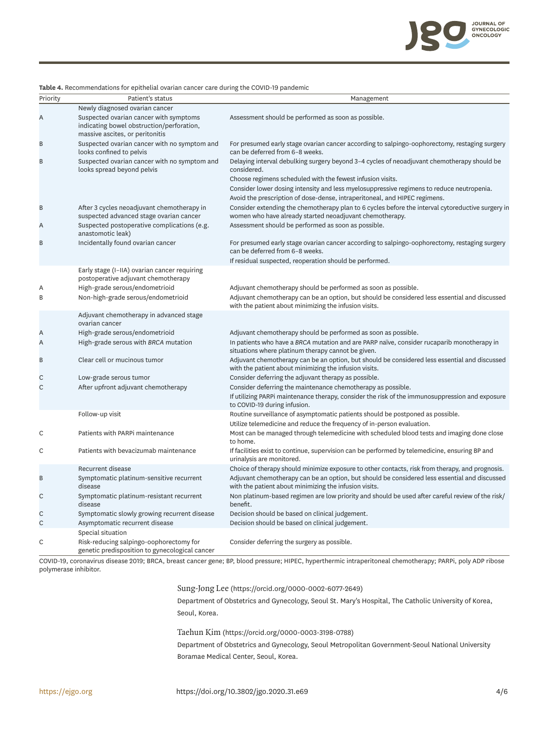

| Priority | Patient's status                                                                                                       | Management                                                                                                                                                                                                                                                                                                                                          |
|----------|------------------------------------------------------------------------------------------------------------------------|-----------------------------------------------------------------------------------------------------------------------------------------------------------------------------------------------------------------------------------------------------------------------------------------------------------------------------------------------------|
|          | Newly diagnosed ovarian cancer                                                                                         |                                                                                                                                                                                                                                                                                                                                                     |
| Α        | Suspected ovarian cancer with symptoms<br>indicating bowel obstruction/perforation,<br>massive ascites, or peritonitis | Assessment should be performed as soon as possible.                                                                                                                                                                                                                                                                                                 |
| В        | Suspected ovarian cancer with no symptom and<br>looks confined to pelvis                                               | For presumed early stage ovarian cancer according to salpingo-oophorectomy, restaging surgery<br>can be deferred from 6-8 weeks.                                                                                                                                                                                                                    |
| B        | Suspected ovarian cancer with no symptom and<br>looks spread beyond pelvis                                             | Delaying interval debulking surgery beyond 3-4 cycles of neoadjuvant chemotherapy should be<br>considered.<br>Choose regimens scheduled with the fewest infusion visits.<br>Consider lower dosing intensity and less myelosuppressive regimens to reduce neutropenia.<br>Avoid the prescription of dose-dense, intraperitoneal, and HIPEC regimens. |
| B        | After 3 cycles neoadjuvant chemotherapy in<br>suspected advanced stage ovarian cancer                                  | Consider extending the chemotherapy plan to 6 cycles before the interval cytoreductive surgery in<br>women who have already started neoadjuvant chemotherapy.                                                                                                                                                                                       |
| Α        | Suspected postoperative complications (e.g.<br>anastomotic leak)                                                       | Assessment should be performed as soon as possible.                                                                                                                                                                                                                                                                                                 |
| B        | Incidentally found ovarian cancer                                                                                      | For presumed early stage ovarian cancer according to salpingo-oophorectomy, restaging surgery<br>can be deferred from 6-8 weeks.<br>If residual suspected, reoperation should be performed.                                                                                                                                                         |
|          | Early stage (I-IIA) ovarian cancer requiring<br>postoperative adjuvant chemotherapy                                    |                                                                                                                                                                                                                                                                                                                                                     |
| Α        | High-grade serous/endometrioid                                                                                         | Adjuvant chemotherapy should be performed as soon as possible.                                                                                                                                                                                                                                                                                      |
| B        | Non-high-grade serous/endometrioid                                                                                     | Adjuvant chemotherapy can be an option, but should be considered less essential and discussed<br>with the patient about minimizing the infusion visits.                                                                                                                                                                                             |
|          | Adjuvant chemotherapy in advanced stage<br>ovarian cancer                                                              |                                                                                                                                                                                                                                                                                                                                                     |
| Α        | High-grade serous/endometrioid                                                                                         | Adjuvant chemotherapy should be performed as soon as possible.                                                                                                                                                                                                                                                                                      |
| Α        | High-grade serous with BRCA mutation                                                                                   | In patients who have a BRCA mutation and are PARP naïve, consider rucaparib monotherapy in<br>situations where platinum therapy cannot be given.                                                                                                                                                                                                    |
| В        | Clear cell or mucinous tumor                                                                                           | Adjuvant chemotherapy can be an option, but should be considered less essential and discussed<br>with the patient about minimizing the infusion visits.                                                                                                                                                                                             |
| С        | Low-grade serous tumor                                                                                                 | Consider deferring the adjuvant therapy as possible.                                                                                                                                                                                                                                                                                                |
| С        | After upfront adjuvant chemotherapy                                                                                    | Consider deferring the maintenance chemotherapy as possible.<br>If utilizing PARPi maintenance therapy, consider the risk of the immunosuppression and exposure<br>to COVID-19 during infusion.                                                                                                                                                     |
|          | Follow-up visit                                                                                                        | Routine surveillance of asymptomatic patients should be postponed as possible.<br>Utilize telemedicine and reduce the frequency of in-person evaluation.                                                                                                                                                                                            |
| С        | Patients with PARPi maintenance                                                                                        | Most can be managed through telemedicine with scheduled blood tests and imaging done close<br>to home.                                                                                                                                                                                                                                              |
| С        | Patients with bevacizumab maintenance                                                                                  | If facilities exist to continue, supervision can be performed by telemedicine, ensuring BP and<br>urinalysis are monitored.                                                                                                                                                                                                                         |
|          | Recurrent disease                                                                                                      | Choice of therapy should minimize exposure to other contacts, risk from therapy, and prognosis.                                                                                                                                                                                                                                                     |
| В        | Symptomatic platinum-sensitive recurrent<br>disease                                                                    | Adjuvant chemotherapy can be an option, but should be considered less essential and discussed<br>with the patient about minimizing the infusion visits.                                                                                                                                                                                             |
| С        | Symptomatic platinum-resistant recurrent<br>disease                                                                    | Non platinum-based regimen are low priority and should be used after careful review of the risk/<br>benefit.                                                                                                                                                                                                                                        |
| С        | Symptomatic slowly growing recurrent disease                                                                           | Decision should be based on clinical judgement.                                                                                                                                                                                                                                                                                                     |
| C        | Asymptomatic recurrent disease<br>Special situation                                                                    | Decision should be based on clinical judgement.                                                                                                                                                                                                                                                                                                     |
| С        | Risk-reducing salpingo-oophorectomy for<br>genetic predisposition to gynecological cancer                              | Consider deferring the surgery as possible.                                                                                                                                                                                                                                                                                                         |

<span id="page-3-0"></span>**Table 4.** Recommendations for epithelial ovarian cancer care during the COVID-19 pandemic

COVID-19, coronavirus disease 2019; BRCA, breast cancer gene; BP, blood pressure; HIPEC, hyperthermic intraperitoneal chemotherapy; PARPi, poly ADP ribose polymerase inhibitor.

## Sung-Jong Lee [\(https://orcid.org/0000-0002-6077-2649](https://orcid.org/0000-0002-6077-2649))

Department of Obstetrics and Gynecology, Seoul St. Mary's Hospital, The Catholic University of Korea, Seoul, Korea.

Taehun Kim (<https://orcid.org/0000-0003-3198-0788>)

Department of Obstetrics and Gynecology, Seoul Metropolitan Government-Seoul National University Boramae Medical Center, Seoul, Korea.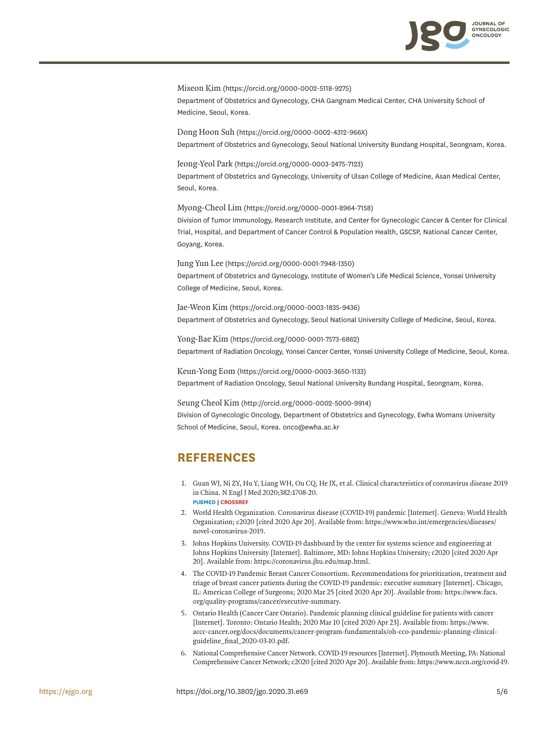

Miseon Kim ([https://orcid.org/0000-0002-5118-9275\)](https://orcid.org/0000-0002-5118-9275) Department of Obstetrics and Gynecology, CHA Gangnam Medical Center, CHA University School of Medicine, Seoul, Korea.

Dong Hoon Suh (<https://orcid.org/0000-0002-4312-966X>) Department of Obstetrics and Gynecology, Seoul National University Bundang Hospital, Seongnam, Korea.

Jeong-Yeol Park [\(https://orcid.org/0000-0003-2475-7123](https://orcid.org/0000-0003-2475-7123)) Department of Obstetrics and Gynecology, University of Ulsan College of Medicine, Asan Medical Center, Seoul, Korea.

Myong-Cheol Lim [\(https://orcid.org/0000-0001-8964-7158](https://orcid.org/0000-0001-8964-7158)) Division of Tumor Immunology, Research Institute, and Center for Gynecologic Cancer & Center for Clinical Trial, Hospital, and Department of Cancer Control & Population Health, GSCSP, National Cancer Center, Goyang, Korea.

Jung Yun Lee [\(https://orcid.org/0000-0001-7948-1350\)](https://orcid.org/0000-0001-7948-1350) Department of Obstetrics and Gynecology, Institute of Women's Life Medical Science, Yonsei University College of Medicine, Seoul, Korea.

Jae-Weon Kim [\(https://orcid.org/0000-0003-1835-9436\)](https://orcid.org/0000-0003-1835-9436) Department of Obstetrics and Gynecology, Seoul National University College of Medicine, Seoul, Korea.

Yong-Bae Kim (<https://orcid.org/0000-0001-7573-6862>) Department of Radiation Oncology, Yonsei Cancer Center, Yonsei University College of Medicine, Seoul, Korea.

Keun-Yong Eom [\(https://orcid.org/0000-0003-3650-1133\)](https://orcid.org/0000-0003-3650-1133) Department of Radiation Oncology, Seoul National University Bundang Hospital, Seongnam, Korea.

Seung Cheol Kim (<http://orcid.org/0000-0002-5000-9914>) Division of Gynecologic Oncology, Department of Obstetrics and Gynecology, Ewha Womans University School of Medicine, Seoul, Korea. onco@ewha.ac.kr

# **REFERENCES**

- <span id="page-4-0"></span>[1.](#page-0-1) Guan WJ, Ni ZY, Hu Y, Liang WH, Ou CQ, He JX, et al. Clinical characteristics of coronavirus disease 2019 in China. N Engl J Med 2020;382:1708-20. **[PUBMED](http://www.ncbi.nlm.nih.gov/pubmed/32109013) | [CROSSREF](https://doi.org/10.1056/NEJMoa2002032)**
- <span id="page-4-1"></span>[2.](#page-0-2) World Health Organization. Coronavirus disease (COVID-19) pandemic [Internet]. Geneva: World Health Organization; c2020 [cited 2020 Apr 20]. Available from: https://www.who.int/emergencies/diseases/ novel-coronavirus-2019.
- <span id="page-4-2"></span>[3.](#page-0-3) Johns Hopkins University. COVID-19 dashboard by the center for systems science and engineering at Johns Hopkins University [Internet]. Baltimore, MD: Johns Hopkins University; c2020 [cited 2020 Apr 20]. Available from: https://coronavirus.jhu.edu/map.html.
- <span id="page-4-3"></span>[4.](#page-0-4) The COVID-19 Pandemic Breast Cancer Consortium. Recommendations for prioritization, treatment and triage of breast cancer patients during the COVID-19 pandemic: executive summary [Internet]. Chicago, IL: American College of Surgeons; 2020 Mar 25 [cited 2020 Apr 20]. Available from: https://www.facs. org/quality-programs/cancer/executive-summary.
- <span id="page-4-4"></span>[5.](#page-0-4) Ontario Health (Cancer Care Ontario). Pandemic planning clinical guideline for patients with cancer [Internet]. Toronto: Ontario Health; 2020 Mar 10 [cited 2020 Apr 23]. Available from: https://www. accc-cancer.org/docs/documents/cancer-program-fundamentals/oh-cco-pandemic-planning-clinicalguideline\_final\_2020-03-10.pdf.
- <span id="page-4-5"></span>[6.](#page-0-5) National Comprehensive Cancer Network. COVID-19 resources [Internet]. Plymouth Meeting, PA: National Comprehensive Cancer Network; c2020 [cited 2020 Apr 20]. Available from: https://www.nccn.org/covid-19.